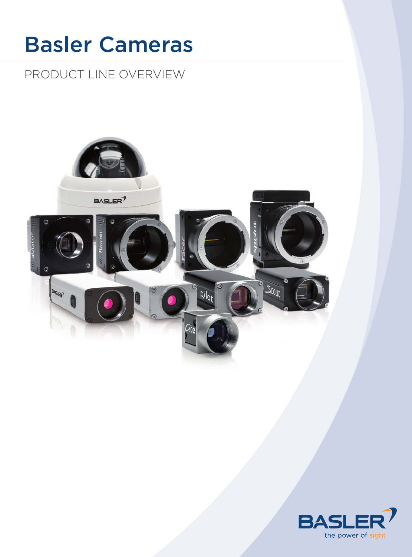# Basler Cameras

# Product line overview